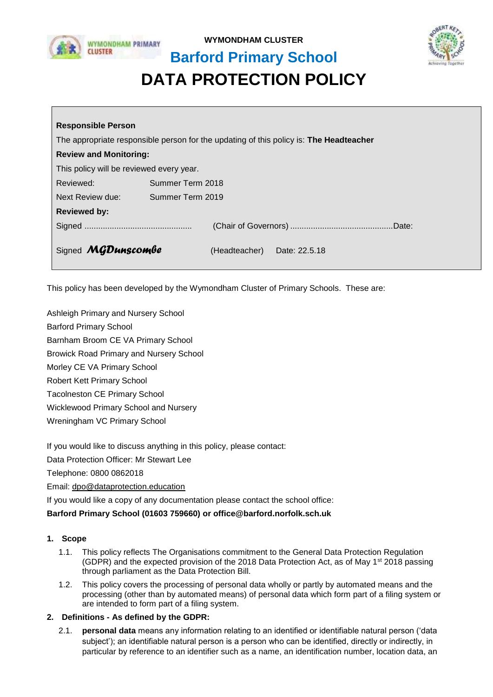

**WYMONDHAM CLUSTER**



# **Barford Primary School**

# **DATA PROTECTION POLICY**

| <b>Responsible Person</b>                                                                     |                  |               |               |  |  |
|-----------------------------------------------------------------------------------------------|------------------|---------------|---------------|--|--|
| The appropriate responsible person for the updating of this policy is: <b>The Headteacher</b> |                  |               |               |  |  |
| <b>Review and Monitoring:</b>                                                                 |                  |               |               |  |  |
| This policy will be reviewed every year.                                                      |                  |               |               |  |  |
| Reviewed:                                                                                     | Summer Term 2018 |               |               |  |  |
| Next Review due:                                                                              | Summer Term 2019 |               |               |  |  |
| <b>Reviewed by:</b>                                                                           |                  |               |               |  |  |
|                                                                                               |                  |               |               |  |  |
| Signed MGDunscombe                                                                            |                  | (Headteacher) | Date: 22.5.18 |  |  |

This policy has been developed by the Wymondham Cluster of Primary Schools. These are:

Ashleigh Primary and Nursery School

Barford Primary School

Barnham Broom CE VA Primary School

- Browick Road Primary and Nursery School
- Morley CE VA Primary School
- Robert Kett Primary School
- Tacolneston CE Primary School
- Wicklewood Primary School and Nursery
- Wreningham VC Primary School

If you would like to discuss anything in this policy, please contact:

Data Protection Officer: Mr Stewart Lee

Telephone: 0800 0862018

Email: [dpo@dataprotection.education](mailto:dpo@dataprotection.education)

If you would like a copy of any documentation please contact the school office:

# **Barford Primary School (01603 759660) or office@barford.norfolk.sch.uk**

## **1. Scope**

- 1.1. This policy reflects The Organisations commitment to the General Data Protection Regulation (GDPR) and the expected provision of the 2018 Data Protection Act, as of May 1<sup>st</sup> 2018 passing through parliament as the Data Protection Bill.
- 1.2. This policy covers the processing of personal data wholly or partly by automated means and the processing (other than by automated means) of personal data which form part of a filing system or are intended to form part of a filing system.

# **2. Definitions - As defined by the GDPR:**

2.1. **personal data** means any information relating to an identified or identifiable natural person ('data subject'); an identifiable natural person is a person who can be identified, directly or indirectly, in particular by reference to an identifier such as a name, an identification number, location data, an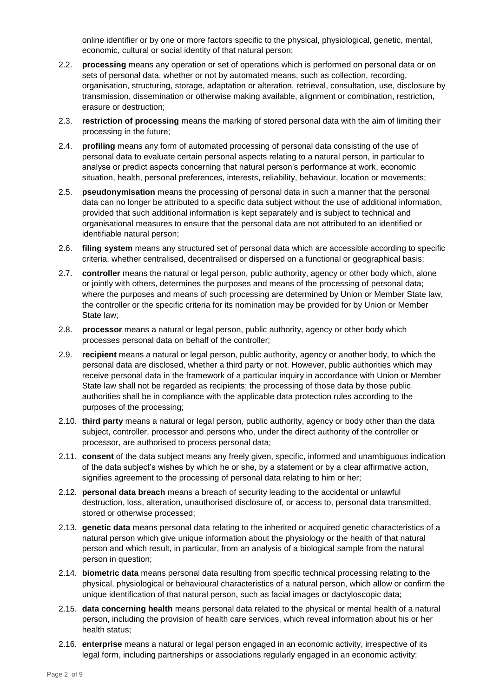online identifier or by one or more factors specific to the physical, physiological, genetic, mental, economic, cultural or social identity of that natural person;

- 2.2. **processing** means any operation or set of operations which is performed on personal data or on sets of personal data, whether or not by automated means, such as collection, recording, organisation, structuring, storage, adaptation or alteration, retrieval, consultation, use, disclosure by transmission, dissemination or otherwise making available, alignment or combination, restriction, erasure or destruction;
- 2.3. **restriction of processing** means the marking of stored personal data with the aim of limiting their processing in the future;
- 2.4. **profiling** means any form of automated processing of personal data consisting of the use of personal data to evaluate certain personal aspects relating to a natural person, in particular to analyse or predict aspects concerning that natural person's performance at work, economic situation, health, personal preferences, interests, reliability, behaviour, location or movements;
- 2.5. **pseudonymisation** means the processing of personal data in such a manner that the personal data can no longer be attributed to a specific data subject without the use of additional information, provided that such additional information is kept separately and is subject to technical and organisational measures to ensure that the personal data are not attributed to an identified or identifiable natural person;
- 2.6. **filing system** means any structured set of personal data which are accessible according to specific criteria, whether centralised, decentralised or dispersed on a functional or geographical basis;
- 2.7. **controller** means the natural or legal person, public authority, agency or other body which, alone or jointly with others, determines the purposes and means of the processing of personal data; where the purposes and means of such processing are determined by Union or Member State law, the controller or the specific criteria for its nomination may be provided for by Union or Member State law;
- 2.8. **processor** means a natural or legal person, public authority, agency or other body which processes personal data on behalf of the controller;
- 2.9. **recipient** means a natural or legal person, public authority, agency or another body, to which the personal data are disclosed, whether a third party or not. However, public authorities which may receive personal data in the framework of a particular inquiry in accordance with Union or Member State law shall not be regarded as recipients; the processing of those data by those public authorities shall be in compliance with the applicable data protection rules according to the purposes of the processing;
- 2.10. **third party** means a natural or legal person, public authority, agency or body other than the data subject, controller, processor and persons who, under the direct authority of the controller or processor, are authorised to process personal data;
- 2.11. **consent** of the data subject means any freely given, specific, informed and unambiguous indication of the data subject's wishes by which he or she, by a statement or by a clear affirmative action, signifies agreement to the processing of personal data relating to him or her;
- 2.12. **personal data breach** means a breach of security leading to the accidental or unlawful destruction, loss, alteration, unauthorised disclosure of, or access to, personal data transmitted. stored or otherwise processed;
- 2.13. **genetic data** means personal data relating to the inherited or acquired genetic characteristics of a natural person which give unique information about the physiology or the health of that natural person and which result, in particular, from an analysis of a biological sample from the natural person in question;
- 2.14. **biometric data** means personal data resulting from specific technical processing relating to the physical, physiological or behavioural characteristics of a natural person, which allow or confirm the unique identification of that natural person, such as facial images or dactyloscopic data;
- 2.15. **data concerning health** means personal data related to the physical or mental health of a natural person, including the provision of health care services, which reveal information about his or her health status;
- 2.16. **enterprise** means a natural or legal person engaged in an economic activity, irrespective of its legal form, including partnerships or associations regularly engaged in an economic activity;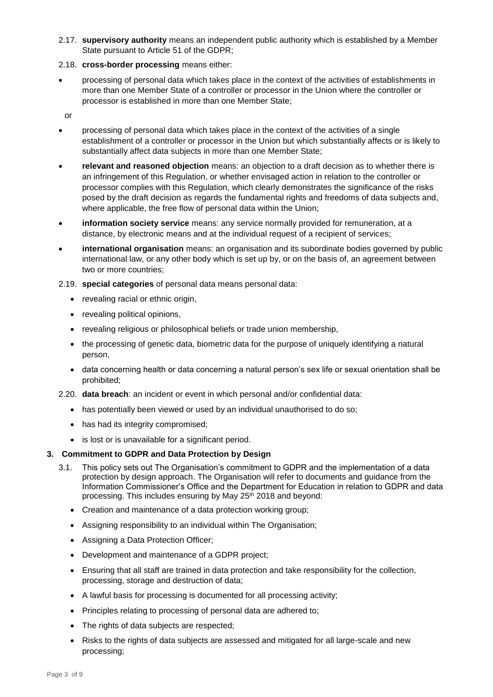- 2.17. **supervisory authority** means an independent public authority which is established by a Member State pursuant to Article 51 of the GDPR;
- 2.18. **cross-border processing** means either:
- processing of personal data which takes place in the context of the activities of establishments in more than one Member State of a controller or processor in the Union where the controller or processor is established in more than one Member State;

or

- processing of personal data which takes place in the context of the activities of a single establishment of a controller or processor in the Union but which substantially affects or is likely to substantially affect data subjects in more than one Member State;
- **relevant and reasoned objection** means: an objection to a draft decision as to whether there is an infringement of this Regulation, or whether envisaged action in relation to the controller or processor complies with this Regulation, which clearly demonstrates the significance of the risks posed by the draft decision as regards the fundamental rights and freedoms of data subjects and, where applicable, the free flow of personal data within the Union;
- **information society service** means: any service normally provided for remuneration, at a distance, by electronic means and at the individual request of a recipient of services;
- **international organisation** means: an organisation and its subordinate bodies governed by public international law, or any other body which is set up by, or on the basis of, an agreement between two or more countries;
- 2.19. **special categories** of personal data means personal data:
	- revealing racial or ethnic origin,
	- revealing political opinions,
	- revealing religious or philosophical beliefs or trade union membership,
	- the processing of genetic data, biometric data for the purpose of uniquely identifying a natural person,
	- data concerning health or data concerning a natural person's sex life or sexual orientation shall be prohibited;
- 2.20. **data breach**: an incident or event in which personal and/or confidential data:
	- has potentially been viewed or used by an individual unauthorised to do so;
	- has had its integrity compromised;
	- is lost or is unavailable for a significant period.

## **3. Commitment to GDPR and Data Protection by Design**

- 3.1. This policy sets out The Organisation's commitment to GDPR and the implementation of a data protection by design approach. The Organisation will refer to documents and guidance from the Information Commissioner's Office and the Department for Education in relation to GDPR and data processing. This includes ensuring by May 25<sup>th</sup> 2018 and beyond:
	- Creation and maintenance of a data protection working group;
	- Assigning responsibility to an individual within The Organisation;
	- Assigning a Data Protection Officer;
	- Development and maintenance of a GDPR project;
	- Ensuring that all staff are trained in data protection and take responsibility for the collection, processing, storage and destruction of data;
	- A lawful basis for processing is documented for all processing activity;
	- Principles relating to processing of personal data are adhered to;
	- The rights of data subjects are respected;
	- Risks to the rights of data subjects are assessed and mitigated for all large-scale and new processing;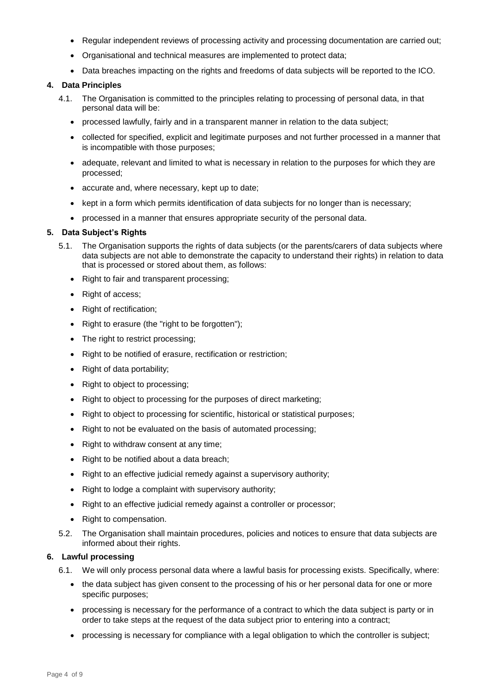- Regular independent reviews of processing activity and processing documentation are carried out;
- Organisational and technical measures are implemented to protect data;
- Data breaches impacting on the rights and freedoms of data subjects will be reported to the ICO.

#### **4. Data Principles**

- 4.1. The Organisation is committed to the principles relating to processing of personal data, in that personal data will be:
	- processed lawfully, fairly and in a transparent manner in relation to the data subject;
	- collected for specified, explicit and legitimate purposes and not further processed in a manner that is incompatible with those purposes;
	- adequate, relevant and limited to what is necessary in relation to the purposes for which they are processed;
	- accurate and, where necessary, kept up to date;
	- kept in a form which permits identification of data subjects for no longer than is necessary;
	- processed in a manner that ensures appropriate security of the personal data.

## **5. Data Subject's Rights**

- 5.1. The Organisation supports the rights of data subjects (or the parents/carers of data subjects where data subjects are not able to demonstrate the capacity to understand their rights) in relation to data that is processed or stored about them, as follows:
	- Right to fair and transparent processing:
	- Right of access;
	- Right of rectification;
	- Right to erasure (the "right to be forgotten");
	- The right to restrict processing;
	- Right to be notified of erasure, rectification or restriction;
	- Right of data portability;
	- Right to object to processing;
	- Right to object to processing for the purposes of direct marketing;
	- Right to object to processing for scientific, historical or statistical purposes;
	- Right to not be evaluated on the basis of automated processing;
	- Right to withdraw consent at any time;
	- Right to be notified about a data breach;
	- Right to an effective judicial remedy against a supervisory authority;
	- Right to lodge a complaint with supervisory authority;
	- Right to an effective judicial remedy against a controller or processor;
	- Right to compensation.
- 5.2. The Organisation shall maintain procedures, policies and notices to ensure that data subjects are informed about their rights.

#### **6. Lawful processing**

- 6.1. We will only process personal data where a lawful basis for processing exists. Specifically, where:
	- the data subject has given consent to the processing of his or her personal data for one or more specific purposes;
	- processing is necessary for the performance of a contract to which the data subject is party or in order to take steps at the request of the data subject prior to entering into a contract;
	- processing is necessary for compliance with a legal obligation to which the controller is subject;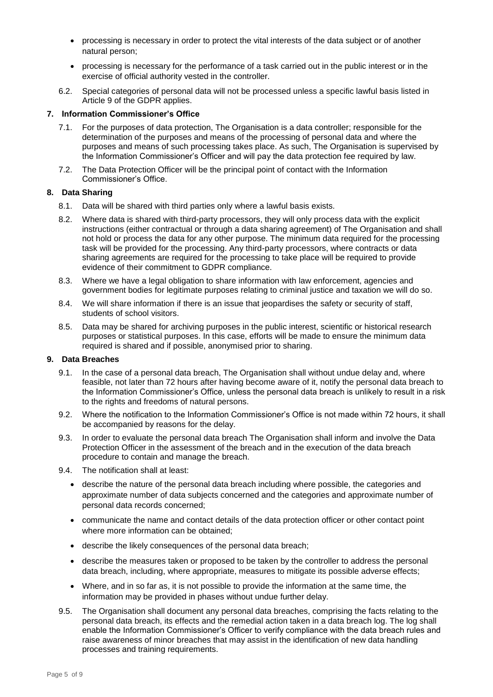- processing is necessary in order to protect the vital interests of the data subject or of another natural person;
- processing is necessary for the performance of a task carried out in the public interest or in the exercise of official authority vested in the controller.
- 6.2. Special categories of personal data will not be processed unless a specific lawful basis listed in Article 9 of the GDPR applies.

#### **7. Information Commissioner's Office**

- 7.1. For the purposes of data protection, The Organisation is a data controller; responsible for the determination of the purposes and means of the processing of personal data and where the purposes and means of such processing takes place. As such, The Organisation is supervised by the Information Commissioner's Officer and will pay the data protection fee required by law.
- 7.2. The Data Protection Officer will be the principal point of contact with the Information Commissioner's Office.

### **8. Data Sharing**

- 8.1. Data will be shared with third parties only where a lawful basis exists.
- 8.2. Where data is shared with third-party processors, they will only process data with the explicit instructions (either contractual or through a data sharing agreement) of The Organisation and shall not hold or process the data for any other purpose. The minimum data required for the processing task will be provided for the processing. Any third-party processors, where contracts or data sharing agreements are required for the processing to take place will be required to provide evidence of their commitment to GDPR compliance.
- 8.3. Where we have a legal obligation to share information with law enforcement, agencies and government bodies for legitimate purposes relating to criminal justice and taxation we will do so.
- 8.4. We will share information if there is an issue that jeopardises the safety or security of staff, students of school visitors.
- 8.5. Data may be shared for archiving purposes in the public interest, scientific or historical research purposes or statistical purposes. In this case, efforts will be made to ensure the minimum data required is shared and if possible, anonymised prior to sharing.

### **9. Data Breaches**

- 9.1. In the case of a personal data breach, The Organisation shall without undue delay and, where feasible, not later than 72 hours after having become aware of it, notify the personal data breach to the Information Commissioner's Office, unless the personal data breach is unlikely to result in a risk to the rights and freedoms of natural persons.
- 9.2. Where the notification to the Information Commissioner's Office is not made within 72 hours, it shall be accompanied by reasons for the delay.
- 9.3. In order to evaluate the personal data breach The Organisation shall inform and involve the Data Protection Officer in the assessment of the breach and in the execution of the data breach procedure to contain and manage the breach.
- 9.4. The notification shall at least:
	- describe the nature of the personal data breach including where possible, the categories and approximate number of data subjects concerned and the categories and approximate number of personal data records concerned;
	- communicate the name and contact details of the data protection officer or other contact point where more information can be obtained;
	- describe the likely consequences of the personal data breach;
	- describe the measures taken or proposed to be taken by the controller to address the personal data breach, including, where appropriate, measures to mitigate its possible adverse effects;
	- Where, and in so far as, it is not possible to provide the information at the same time, the information may be provided in phases without undue further delay.
- 9.5. The Organisation shall document any personal data breaches, comprising the facts relating to the personal data breach, its effects and the remedial action taken in a data breach log. The log shall enable the Information Commissioner's Officer to verify compliance with the data breach rules and raise awareness of minor breaches that may assist in the identification of new data handling processes and training requirements.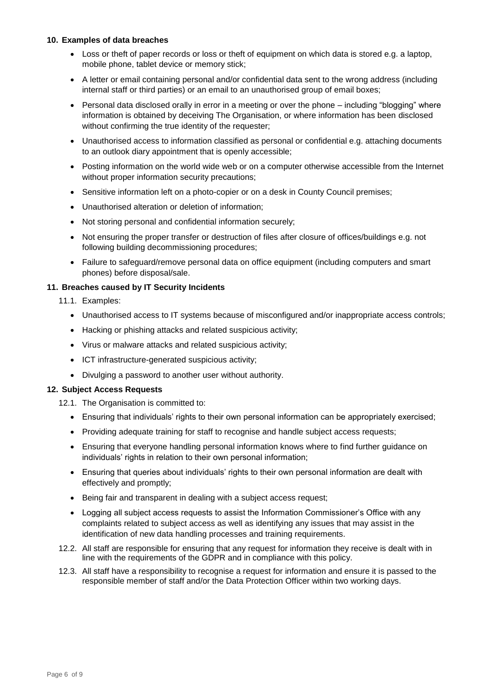#### **10. Examples of data breaches**

- Loss or theft of paper records or loss or theft of equipment on which data is stored e.g. a laptop, mobile phone, tablet device or memory stick;
- A letter or email containing personal and/or confidential data sent to the wrong address (including internal staff or third parties) or an email to an unauthorised group of email boxes;
- Personal data disclosed orally in error in a meeting or over the phone including "blogging" where information is obtained by deceiving The Organisation, or where information has been disclosed without confirming the true identity of the requester;
- Unauthorised access to information classified as personal or confidential e.g. attaching documents to an outlook diary appointment that is openly accessible;
- Posting information on the world wide web or on a computer otherwise accessible from the Internet without proper information security precautions;
- Sensitive information left on a photo-copier or on a desk in County Council premises;
- Unauthorised alteration or deletion of information;
- Not storing personal and confidential information securely;
- Not ensuring the proper transfer or destruction of files after closure of offices/buildings e.g. not following building decommissioning procedures;
- Failure to safeguard/remove personal data on office equipment (including computers and smart phones) before disposal/sale.

#### **11. Breaches caused by IT Security Incidents**

- 11.1. Examples:
	- Unauthorised access to IT systems because of misconfigured and/or inappropriate access controls;
	- Hacking or phishing attacks and related suspicious activity;
	- Virus or malware attacks and related suspicious activity;
	- ICT infrastructure-generated suspicious activity;
	- Divulging a password to another user without authority.

#### **12. Subject Access Requests**

- 12.1. The Organisation is committed to:
	- Ensuring that individuals' rights to their own personal information can be appropriately exercised;
	- Providing adequate training for staff to recognise and handle subject access requests;
	- Ensuring that everyone handling personal information knows where to find further guidance on individuals' rights in relation to their own personal information;
	- Ensuring that queries about individuals' rights to their own personal information are dealt with effectively and promptly;
	- Being fair and transparent in dealing with a subject access request;
	- Logging all subject access requests to assist the Information Commissioner's Office with any complaints related to subject access as well as identifying any issues that may assist in the identification of new data handling processes and training requirements.
- 12.2. All staff are responsible for ensuring that any request for information they receive is dealt with in line with the requirements of the GDPR and in compliance with this policy.
- 12.3. All staff have a responsibility to recognise a request for information and ensure it is passed to the responsible member of staff and/or the Data Protection Officer within two working days.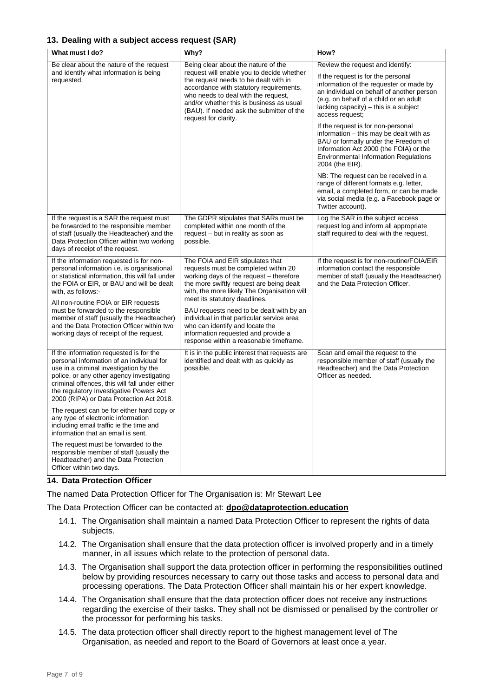#### **13. Dealing with a subject access request (SAR)**

| Why?                                                                                                                                                                                                                                                                                                                                                                                                                       | How?                                                                                                                                                                                                                                                                                                                                                                                                                                                                                                       |
|----------------------------------------------------------------------------------------------------------------------------------------------------------------------------------------------------------------------------------------------------------------------------------------------------------------------------------------------------------------------------------------------------------------------------|------------------------------------------------------------------------------------------------------------------------------------------------------------------------------------------------------------------------------------------------------------------------------------------------------------------------------------------------------------------------------------------------------------------------------------------------------------------------------------------------------------|
| Being clear about the nature of the<br>request will enable you to decide whether<br>the request needs to be dealt with in<br>accordance with statutory requirements,<br>who needs to deal with the request,<br>and/or whether this is business as usual<br>(BAU). If needed ask the submitter of the<br>request for clarity.                                                                                               | Review the request and identify:<br>If the request is for the personal<br>information of the requester or made by<br>an individual on behalf of another person<br>(e.g. on behalf of a child or an adult<br>lacking capacity) - this is a subject<br>access request:<br>If the request is for non-personal<br>information - this may be dealt with as<br>BAU or formally under the Freedom of<br>Information Act 2000 (the FOIA) or the<br><b>Environmental Information Regulations</b><br>2004 (the EIR). |
|                                                                                                                                                                                                                                                                                                                                                                                                                            | NB: The request can be received in a<br>range of different formats e.g. letter,<br>email, a completed form, or can be made<br>via social media (e.g. a Facebook page or<br>Twitter account).                                                                                                                                                                                                                                                                                                               |
| The GDPR stipulates that SARs must be<br>completed within one month of the<br>request - but in reality as soon as<br>possible.                                                                                                                                                                                                                                                                                             | Log the SAR in the subject access<br>request log and inform all appropriate<br>staff required to deal with the request.                                                                                                                                                                                                                                                                                                                                                                                    |
| requests must be completed within 20<br>working days of the request - therefore<br>the more swiftly request are being dealt<br>with, the more likely The Organisation will<br>meet its statutory deadlines.<br>BAU requests need to be dealt with by an<br>individual in that particular service area<br>who can identify and locate the<br>information requested and provide a<br>response within a reasonable timeframe. | If the request is for non-routine/FOIA/EIR<br>information contact the responsible<br>member of staff (usually the Headteacher)<br>and the Data Protection Officer.                                                                                                                                                                                                                                                                                                                                         |
| It is in the public interest that requests are<br>identified and dealt with as quickly as<br>possible.                                                                                                                                                                                                                                                                                                                     | Scan and email the request to the<br>responsible member of staff (usually the<br>Headteacher) and the Data Protection<br>Officer as needed.                                                                                                                                                                                                                                                                                                                                                                |
|                                                                                                                                                                                                                                                                                                                                                                                                                            |                                                                                                                                                                                                                                                                                                                                                                                                                                                                                                            |
|                                                                                                                                                                                                                                                                                                                                                                                                                            | The FOIA and EIR stipulates that                                                                                                                                                                                                                                                                                                                                                                                                                                                                           |

#### **14. Data Protection Officer**

The named Data Protection Officer for The Organisation is: Mr Stewart Lee

#### The Data Protection Officer can be contacted at: **dpo@dataprotection.education**

- 14.1. The Organisation shall maintain a named Data Protection Officer to represent the rights of data subjects.
- 14.2. The Organisation shall ensure that the data protection officer is involved properly and in a timely manner, in all issues which relate to the protection of personal data.
- 14.3. The Organisation shall support the data protection officer in performing the responsibilities outlined below by providing resources necessary to carry out those tasks and access to personal data and processing operations. The Data Protection Officer shall maintain his or her expert knowledge.
- 14.4. The Organisation shall ensure that the data protection officer does not receive any instructions regarding the exercise of their tasks. They shall not be dismissed or penalised by the controller or the processor for performing his tasks.
- 14.5. The data protection officer shall directly report to the highest management level of The Organisation, as needed and report to the Board of Governors at least once a year.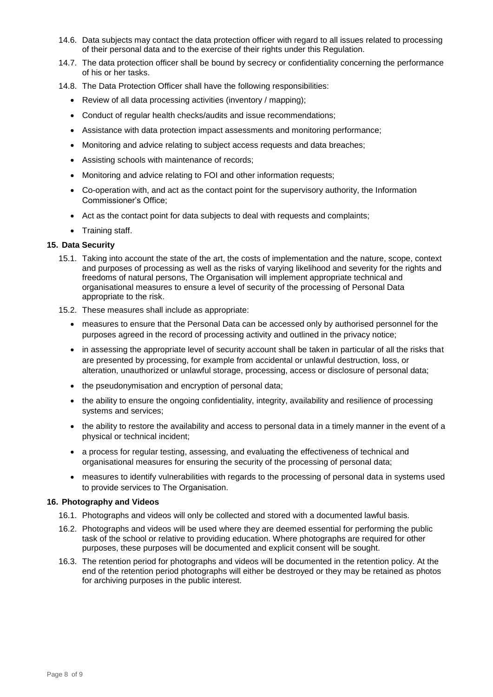- 14.6. Data subjects may contact the data protection officer with regard to all issues related to processing of their personal data and to the exercise of their rights under this Regulation.
- 14.7. The data protection officer shall be bound by secrecy or confidentiality concerning the performance of his or her tasks.
- 14.8. The Data Protection Officer shall have the following responsibilities:
	- Review of all data processing activities (inventory / mapping);
	- Conduct of regular health checks/audits and issue recommendations;
	- Assistance with data protection impact assessments and monitoring performance;
	- Monitoring and advice relating to subject access requests and data breaches;
	- Assisting schools with maintenance of records;
	- Monitoring and advice relating to FOI and other information requests;
	- Co-operation with, and act as the contact point for the supervisory authority, the Information Commissioner's Office;
	- Act as the contact point for data subjects to deal with requests and complaints;
	- Training staff.

### **15. Data Security**

- 15.1. Taking into account the state of the art, the costs of implementation and the nature, scope, context and purposes of processing as well as the risks of varying likelihood and severity for the rights and freedoms of natural persons, The Organisation will implement appropriate technical and organisational measures to ensure a level of security of the processing of Personal Data appropriate to the risk.
- 15.2. These measures shall include as appropriate:
	- measures to ensure that the Personal Data can be accessed only by authorised personnel for the purposes agreed in the record of processing activity and outlined in the privacy notice;
	- in assessing the appropriate level of security account shall be taken in particular of all the risks that are presented by processing, for example from accidental or unlawful destruction, loss, or alteration, unauthorized or unlawful storage, processing, access or disclosure of personal data;
	- the pseudonymisation and encryption of personal data;
	- the ability to ensure the ongoing confidentiality, integrity, availability and resilience of processing systems and services;
	- the ability to restore the availability and access to personal data in a timely manner in the event of a physical or technical incident;
	- a process for regular testing, assessing, and evaluating the effectiveness of technical and organisational measures for ensuring the security of the processing of personal data;
	- measures to identify vulnerabilities with regards to the processing of personal data in systems used to provide services to The Organisation.

#### **16. Photography and Videos**

- 16.1. Photographs and videos will only be collected and stored with a documented lawful basis.
- 16.2. Photographs and videos will be used where they are deemed essential for performing the public task of the school or relative to providing education. Where photographs are required for other purposes, these purposes will be documented and explicit consent will be sought.
- 16.3. The retention period for photographs and videos will be documented in the retention policy. At the end of the retention period photographs will either be destroyed or they may be retained as photos for archiving purposes in the public interest.